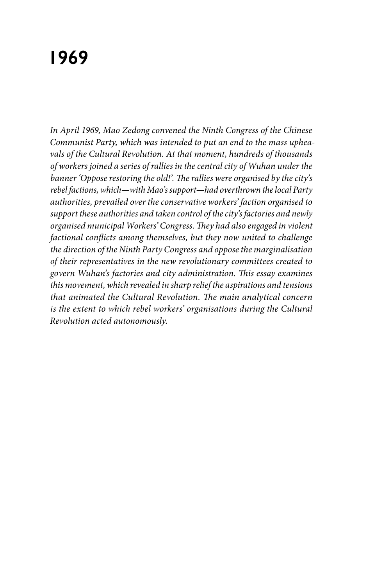# **1969**

*In April 1969, Mao Zedong convened the Ninth Congress of the Chinese Communist Party, which was intended to put an end to the mass upheavals of the Cultural Revolution. At that moment, hundreds of thousands of workers joined a series of rallies in the central city of Wuhan under the banner 'Oppose restoring the old!'. The rallies were organised by the city's rebel factions, which—with Mao's support—had overthrown the local Party authorities, prevailed over the conservative workers' faction organised to support these authorities and taken control of the city's factories and newly organised municipal Workers' Congress. They had also engaged in violent factional conflicts among themselves, but they now united to challenge the direction of the Ninth Party Congress and oppose the marginalisation of their representatives in the new revolutionary committees created to govern Wuhan's factories and city administration. This essay examines this movement, which revealed in sharp relief the aspirations and tensions that animated the Cultural Revolution. The main analytical concern is the extent to which rebel workers' organisations during the Cultural Revolution acted autonomously.*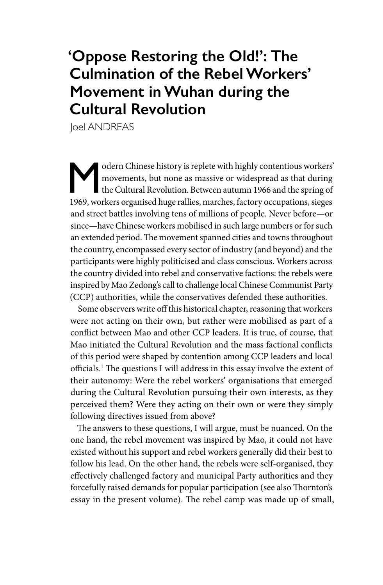## **'Oppose Restoring the Old!': The Culmination of the Rebel Workers' Movement in Wuhan during the Cultural Revolution**

**Joel ANDREAS** 

Modern Chinese history is replete with highly contentious workers' movements, but none as massive or widespread as that during the Cultural Revolution. Between autumn 1966 and the spring of 1969, workers cronniced bugg rel movements, but none as massive or widespread as that during the Cultural Revolution. Between autumn 1966 and the spring of 1969, workers organised huge rallies, marches, factory occupations, sieges and street battles involving tens of millions of people. Never before—or since—have Chinese workers mobilised in such large numbers or for such an extended period. The movement spanned cities and towns throughout the country, encompassed every sector of industry (and beyond) and the participants were highly politicised and class conscious. Workers across the country divided into rebel and conservative factions: the rebels were inspired by Mao Zedong's call to challenge local Chinese Communist Party (CCP) authorities, while the conservatives defended these authorities.

Some observers write off this historical chapter, reasoning that workers were not acting on their own, but rather were mobilised as part of a conflict between Mao and other CCP leaders. It is true, of course, that Mao initiated the Cultural Revolution and the mass factional conflicts of this period were shaped by contention among CCP leaders and local officials.1 The questions I will address in this essay involve the extent of their autonomy: Were the rebel workers' organisations that emerged during the Cultural Revolution pursuing their own interests, as they perceived them? Were they acting on their own or were they simply following directives issued from above?

The answers to these questions, I will argue, must be nuanced. On the one hand, the rebel movement was inspired by Mao, it could not have existed without his support and rebel workers generally did their best to follow his lead. On the other hand, the rebels were self-organised, they effectively challenged factory and municipal Party authorities and they forcefully raised demands for popular participation (see also Thornton's essay in the present volume). The rebel camp was made up of small,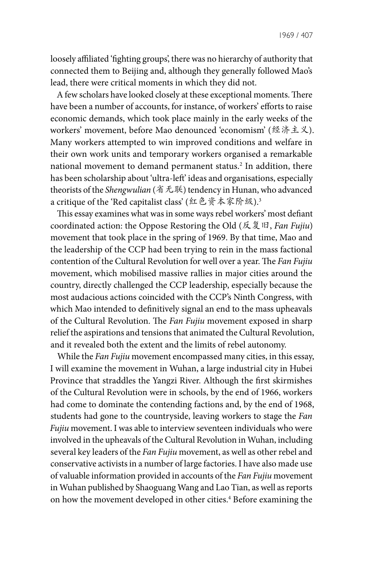1969 / 407

loosely affiliated 'fighting groups', there was no hierarchy of authority that connected them to Beijing and, although they generally followed Mao's lead, there were critical moments in which they did not.

A few scholars have looked closely at these exceptional moments. There have been a number of accounts, for instance, of workers' efforts to raise economic demands, which took place mainly in the early weeks of the workers' movement, before Mao denounced 'economism' (经济主义). Many workers attempted to win improved conditions and welfare in their own work units and temporary workers organised a remarkable national movement to demand permanent status.2 In addition, there has been scholarship about 'ultra-left' ideas and organisations, especially theorists of the *Shengwulian* (省无联) tendency in Hunan, who advanced a critique of the 'Red capitalist class' (红色资本家阶级).<sup>3</sup>

This essay examines what was in some ways rebel workers' most defiant coordinated action: the Oppose Restoring the Old (反复旧, *Fan Fujiu*) movement that took place in the spring of 1969. By that time, Mao and the leadership of the CCP had been trying to rein in the mass factional contention of the Cultural Revolution for well over a year. The *Fan Fujiu* movement, which mobilised massive rallies in major cities around the country, directly challenged the CCP leadership, especially because the most audacious actions coincided with the CCP's Ninth Congress, with which Mao intended to definitively signal an end to the mass upheavals of the Cultural Revolution. The *Fan Fujiu* movement exposed in sharp relief the aspirations and tensions that animated the Cultural Revolution, and it revealed both the extent and the limits of rebel autonomy.

While the *Fan Fujiu* movement encompassed many cities, in this essay, I will examine the movement in Wuhan, a large industrial city in Hubei Province that straddles the Yangzi River. Although the first skirmishes of the Cultural Revolution were in schools, by the end of 1966, workers had come to dominate the contending factions and, by the end of 1968, students had gone to the countryside, leaving workers to stage the *Fan Fujiu* movement. I was able to interview seventeen individuals who were involved in the upheavals of the Cultural Revolution in Wuhan, including several key leaders of the *Fan Fujiu* movement, as well as other rebel and conservative activists in a number of large factories. I have also made use of valuable information provided in accounts of the *Fan Fujiu* movement in Wuhan published by Shaoguang Wang and Lao Tian, as well as reports on how the movement developed in other cities.<sup>4</sup> Before examining the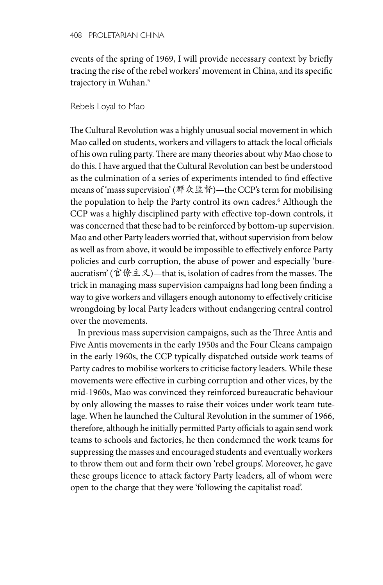events of the spring of 1969, I will provide necessary context by briefly tracing the rise of the rebel workers' movement in China, and its specific trajectory in Wuhan.5

### Rebels Loyal to Mao

The Cultural Revolution was a highly unusual social movement in which Mao called on students, workers and villagers to attack the local officials of his own ruling party. There are many theories about why Mao chose to do this. I have argued that the Cultural Revolution can best be understood as the culmination of a series of experiments intended to find effective means of 'mass supervision' (群众监督)—the CCP's term for mobilising the population to help the Party control its own cadres.6 Although the CCP was a highly disciplined party with effective top-down controls, it was concerned that these had to be reinforced by bottom-up supervision. Mao and other Party leaders worried that, without supervision from below as well as from above, it would be impossible to effectively enforce Party policies and curb corruption, the abuse of power and especially 'bureaucratism' (官僚主义)—that is, isolation of cadres from the masses. The trick in managing mass supervision campaigns had long been finding a way to give workers and villagers enough autonomy to effectively criticise wrongdoing by local Party leaders without endangering central control over the movements.

In previous mass supervision campaigns, such as the Three Antis and Five Antis movements in the early 1950s and the Four Cleans campaign in the early 1960s, the CCP typically dispatched outside work teams of Party cadres to mobilise workers to criticise factory leaders. While these movements were effective in curbing corruption and other vices, by the mid-1960s, Mao was convinced they reinforced bureaucratic behaviour by only allowing the masses to raise their voices under work team tutelage. When he launched the Cultural Revolution in the summer of 1966, therefore, although he initially permitted Party officials to again send work teams to schools and factories, he then condemned the work teams for suppressing the masses and encouraged students and eventually workers to throw them out and form their own 'rebel groups'. Moreover, he gave these groups licence to attack factory Party leaders, all of whom were open to the charge that they were 'following the capitalist road'.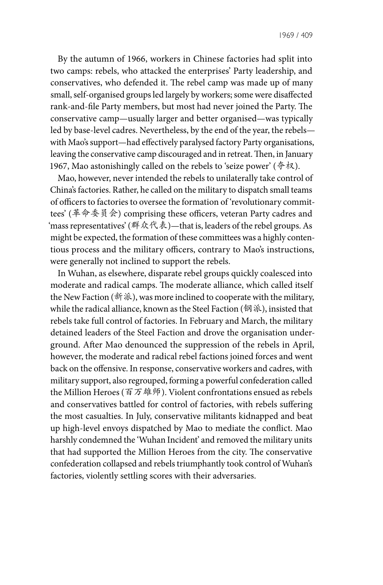By the autumn of 1966, workers in Chinese factories had split into two camps: rebels, who attacked the enterprises' Party leadership, and conservatives, who defended it. The rebel camp was made up of many small, self-organised groups led largely by workers; some were disaffected rank-and-file Party members, but most had never joined the Party. The conservative camp—usually larger and better organised—was typically led by base-level cadres. Nevertheless, by the end of the year, the rebels with Mao's support—had effectively paralysed factory Party organisations, leaving the conservative camp discouraged and in retreat. Then, in January 1967, Mao astonishingly called on the rebels to 'seize power' ( $\triangleq \uparrow \times \downarrow$ ).

Mao, however, never intended the rebels to unilaterally take control of China's factories. Rather, he called on the military to dispatch small teams of officers to factories to oversee the formation of 'revolutionary committees' (革命委员会) comprising these officers, veteran Party cadres and 'mass representatives' (群众代表)—that is, leaders of the rebel groups. As might be expected, the formation of these committees was a highly contentious process and the military officers, contrary to Mao's instructions, were generally not inclined to support the rebels.

In Wuhan, as elsewhere, disparate rebel groups quickly coalesced into moderate and radical camps. The moderate alliance, which called itself the New Faction ( $\mathcal{H}\mathcal{R}$ ), was more inclined to cooperate with the military, while the radical alliance, known as the Steel Faction (钢派), insisted that rebels take full control of factories. In February and March, the military detained leaders of the Steel Faction and drove the organisation underground. After Mao denounced the suppression of the rebels in April, however, the moderate and radical rebel factions joined forces and went back on the offensive. In response, conservative workers and cadres, with military support, also regrouped, forming a powerful confederation called the Million Heroes (百万雄师). Violent confrontations ensued as rebels and conservatives battled for control of factories, with rebels suffering the most casualties. In July, conservative militants kidnapped and beat up high-level envoys dispatched by Mao to mediate the conflict. Mao harshly condemned the 'Wuhan Incident' and removed the military units that had supported the Million Heroes from the city. The conservative confederation collapsed and rebels triumphantly took control of Wuhan's factories, violently settling scores with their adversaries.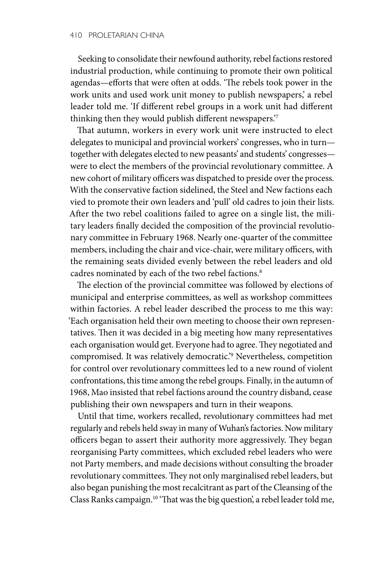Seeking to consolidate their newfound authority, rebel factions restored industrial production, while continuing to promote their own political agendas—efforts that were often at odds. 'The rebels took power in the work units and used work unit money to publish newspapers,' a rebel leader told me. 'If different rebel groups in a work unit had different thinking then they would publish different newspapers.'7

That autumn, workers in every work unit were instructed to elect delegates to municipal and provincial workers' congresses, who in turn together with delegates elected to new peasants' and students' congresses were to elect the members of the provincial revolutionary committee. A new cohort of military officers was dispatched to preside over the process. With the conservative faction sidelined, the Steel and New factions each vied to promote their own leaders and 'pull' old cadres to join their lists. After the two rebel coalitions failed to agree on a single list, the military leaders finally decided the composition of the provincial revolutionary committee in February 1968. Nearly one-quarter of the committee members, including the chair and vice-chair, were military officers, with the remaining seats divided evenly between the rebel leaders and old cadres nominated by each of the two rebel factions.<sup>8</sup>

The election of the provincial committee was followed by elections of municipal and enterprise committees, as well as workshop committees within factories. A rebel leader described the process to me this way: 'Each organisation held their own meeting to choose their own representatives. Then it was decided in a big meeting how many representatives each organisation would get. Everyone had to agree. They negotiated and compromised. It was relatively democratic.'9 Nevertheless, competition for control over revolutionary committees led to a new round of violent confrontations, this time among the rebel groups. Finally, in the autumn of 1968, Mao insisted that rebel factions around the country disband, cease publishing their own newspapers and turn in their weapons.

Until that time, workers recalled, revolutionary committees had met regularly and rebels held sway in many of Wuhan's factories. Now military officers began to assert their authority more aggressively. They began reorganising Party committees, which excluded rebel leaders who were not Party members, and made decisions without consulting the broader revolutionary committees. They not only marginalised rebel leaders, but also began punishing the most recalcitrant as part of the Cleansing of the Class Ranks campaign.10 'That was the big question', a rebel leader told me,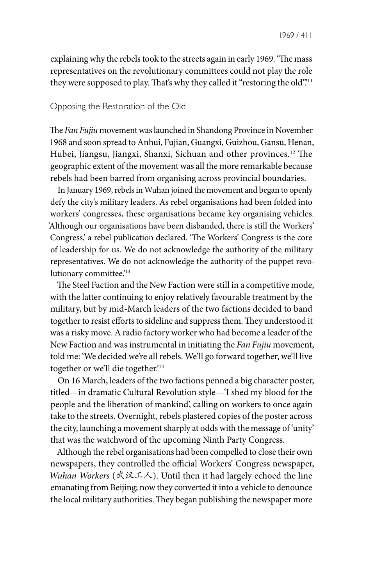explaining why the rebels took to the streets again in early 1969. 'The mass representatives on the revolutionary committees could not play the role they were supposed to play. That's why they called it "restoring the old".<sup>11</sup>

#### Opposing the Restoration of the Old

The *Fan Fujiu* movement was launched in Shandong Province in November 1968 and soon spread to Anhui, Fujian, Guangxi, Guizhou, Gansu, Henan, Hubei, Jiangsu, Jiangxi, Shanxi, Sichuan and other provinces.12 The geographic extent of the movement was all the more remarkable because rebels had been barred from organising across provincial boundaries.

In January 1969, rebels in Wuhan joined the movement and began to openly defy the city's military leaders. As rebel organisations had been folded into workers' congresses, these organisations became key organising vehicles. 'Although our organisations have been disbanded, there is still the Workers' Congress,' a rebel publication declared. 'The Workers' Congress is the core of leadership for us. We do not acknowledge the authority of the military representatives. We do not acknowledge the authority of the puppet revolutionary committee.'<sup>13</sup>

The Steel Faction and the New Faction were still in a competitive mode, with the latter continuing to enjoy relatively favourable treatment by the military, but by mid-March leaders of the two factions decided to band together to resist efforts to sideline and suppress them. They understood it was a risky move. A radio factory worker who had become a leader of the New Faction and was instrumental in initiating the *Fan Fujiu* movement, told me: 'We decided we're all rebels. We'll go forward together, we'll live together or we'll die together.'14

On 16 March, leaders of the two factions penned a big character poster, titled—in dramatic Cultural Revolution style—'I shed my blood for the people and the liberation of mankind', calling on workers to once again take to the streets. Overnight, rebels plastered copies of the poster across the city, launching a movement sharply at odds with the message of 'unity' that was the watchword of the upcoming Ninth Party Congress.

Although the rebel organisations had been compelled to close their own newspapers, they controlled the official Workers' Congress newspaper, *Wuhan Workers* (武汉工人). Until then it had largely echoed the line emanating from Beijing; now they converted it into a vehicle to denounce the local military authorities. They began publishing the newspaper more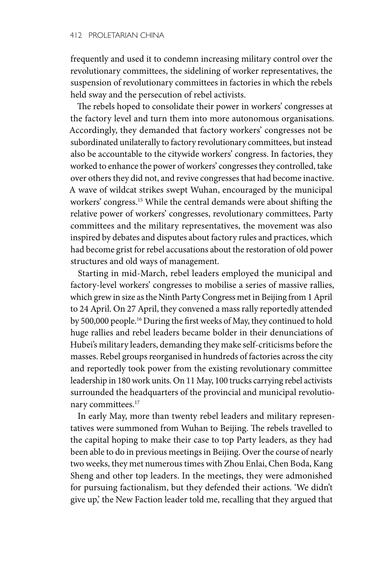frequently and used it to condemn increasing military control over the revolutionary committees, the sidelining of worker representatives, the suspension of revolutionary committees in factories in which the rebels held sway and the persecution of rebel activists.

The rebels hoped to consolidate their power in workers' congresses at the factory level and turn them into more autonomous organisations. Accordingly, they demanded that factory workers' congresses not be subordinated unilaterally to factory revolutionary committees, but instead also be accountable to the citywide workers' congress. In factories, they worked to enhance the power of workers' congresses they controlled, take over others they did not, and revive congresses that had become inactive. A wave of wildcat strikes swept Wuhan, encouraged by the municipal workers' congress.15 While the central demands were about shifting the relative power of workers' congresses, revolutionary committees, Party committees and the military representatives, the movement was also inspired by debates and disputes about factory rules and practices, which had become grist for rebel accusations about the restoration of old power structures and old ways of management.

Starting in mid-March, rebel leaders employed the municipal and factory-level workers' congresses to mobilise a series of massive rallies, which grew in size as the Ninth Party Congress met in Beijing from 1 April to 24 April. On 27 April, they convened a mass rally reportedly attended by 500,000 people.16 During the first weeks of May, they continued to hold huge rallies and rebel leaders became bolder in their denunciations of Hubei's military leaders, demanding they make self-criticisms before the masses. Rebel groups reorganised in hundreds of factories across the city and reportedly took power from the existing revolutionary committee leadership in 180 work units. On 11 May, 100 trucks carrying rebel activists surrounded the headquarters of the provincial and municipal revolutionary committees.<sup>17</sup>

In early May, more than twenty rebel leaders and military representatives were summoned from Wuhan to Beijing. The rebels travelled to the capital hoping to make their case to top Party leaders, as they had been able to do in previous meetings in Beijing. Over the course of nearly two weeks, they met numerous times with Zhou Enlai, Chen Boda, Kang Sheng and other top leaders. In the meetings, they were admonished for pursuing factionalism, but they defended their actions. 'We didn't give up,' the New Faction leader told me, recalling that they argued that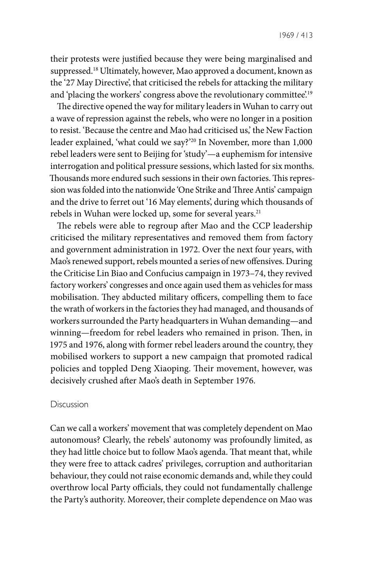their protests were justified because they were being marginalised and suppressed.<sup>18</sup> Ultimately, however, Mao approved a document, known as the '27 May Directive', that criticised the rebels for attacking the military and 'placing the workers' congress above the revolutionary committee'.<sup>19</sup>

The directive opened the way for military leaders in Wuhan to carry out a wave of repression against the rebels, who were no longer in a position to resist. 'Because the centre and Mao had criticised us,' the New Faction leader explained, 'what could we say?'20 In November, more than 1,000 rebel leaders were sent to Beijing for 'study'—a euphemism for intensive interrogation and political pressure sessions, which lasted for six months. Thousands more endured such sessions in their own factories. This repression was folded into the nationwide 'One Strike and Three Antis' campaign and the drive to ferret out '16 May elements', during which thousands of rebels in Wuhan were locked up, some for several years.<sup>21</sup>

The rebels were able to regroup after Mao and the CCP leadership criticised the military representatives and removed them from factory and government administration in 1972. Over the next four years, with Mao's renewed support, rebels mounted a series of new offensives. During the Criticise Lin Biao and Confucius campaign in 1973–74, they revived factory workers' congresses and once again used them as vehicles for mass mobilisation. They abducted military officers, compelling them to face the wrath of workers in the factories they had managed, and thousands of workers surrounded the Party headquarters in Wuhan demanding—and winning—freedom for rebel leaders who remained in prison. Then, in 1975 and 1976, along with former rebel leaders around the country, they mobilised workers to support a new campaign that promoted radical policies and toppled Deng Xiaoping. Their movement, however, was decisively crushed after Mao's death in September 1976.

#### Discussion

Can we call a workers' movement that was completely dependent on Mao autonomous? Clearly, the rebels' autonomy was profoundly limited, as they had little choice but to follow Mao's agenda. That meant that, while they were free to attack cadres' privileges, corruption and authoritarian behaviour, they could not raise economic demands and, while they could overthrow local Party officials, they could not fundamentally challenge the Party's authority. Moreover, their complete dependence on Mao was